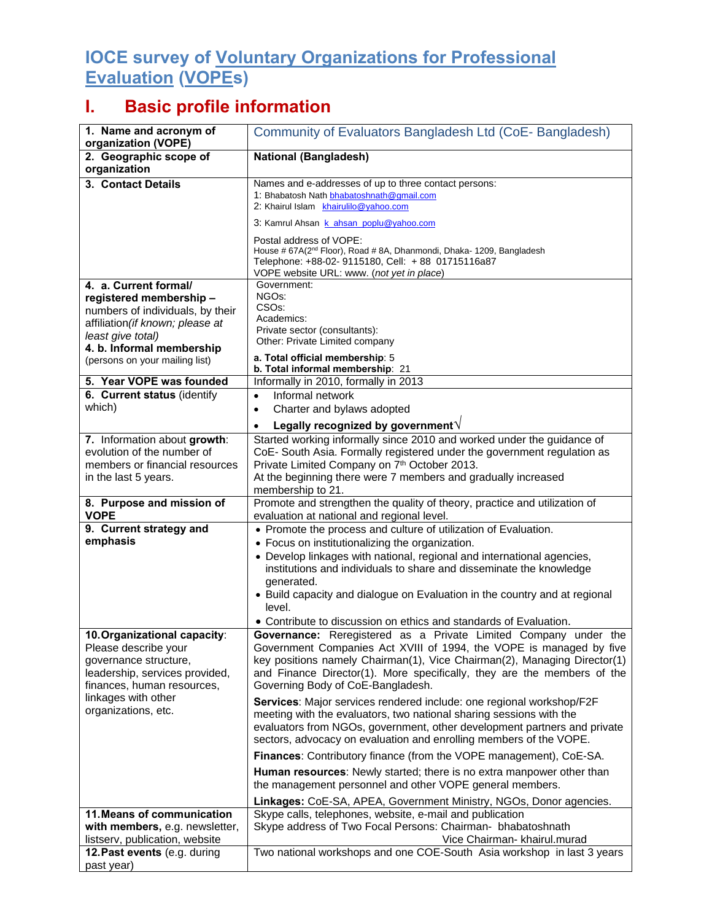## **IOCE survey of Voluntary Organizations for Professional Evaluation (VOPEs)**

## **I. Basic profile information**

| 1. Name and acronym of<br>organization (VOPE)                                                                                                                                                                | Community of Evaluators Bangladesh Ltd (CoE-Bangladesh)                                                                                                                                                                                                                                                                                                                                                                                        |
|--------------------------------------------------------------------------------------------------------------------------------------------------------------------------------------------------------------|------------------------------------------------------------------------------------------------------------------------------------------------------------------------------------------------------------------------------------------------------------------------------------------------------------------------------------------------------------------------------------------------------------------------------------------------|
| 2. Geographic scope of<br>organization                                                                                                                                                                       | <b>National (Bangladesh)</b>                                                                                                                                                                                                                                                                                                                                                                                                                   |
| 3. Contact Details                                                                                                                                                                                           | Names and e-addresses of up to three contact persons:<br>1: Bhabatosh Nath bhabatoshnath@gmail.com<br>2: Khairul Islam khairulilo@yahoo.com                                                                                                                                                                                                                                                                                                    |
|                                                                                                                                                                                                              | 3: Kamrul Ahsan k_ahsan_poplu@yahoo.com                                                                                                                                                                                                                                                                                                                                                                                                        |
|                                                                                                                                                                                                              | Postal address of VOPE:<br>House # 67A(2 <sup>nd</sup> Floor), Road # 8A, Dhanmondi, Dhaka- 1209, Bangladesh<br>Telephone: +88-02- 9115180, Cell: +88 01715116a87<br>VOPE website URL: www. (not yet in place)                                                                                                                                                                                                                                 |
| 4. a. Current formal/<br>registered membership -<br>numbers of individuals, by their<br>affiliation (if known; please at<br>least give total)<br>4. b. Informal membership<br>(persons on your mailing list) | Government:<br>NGO <sub>s</sub> :<br>CSO <sub>s</sub> :<br>Academics:<br>Private sector (consultants):<br>Other: Private Limited company<br>a. Total official membership: 5<br>b. Total informal membership: 21                                                                                                                                                                                                                                |
| 5. Year VOPE was founded                                                                                                                                                                                     | Informally in 2010, formally in 2013                                                                                                                                                                                                                                                                                                                                                                                                           |
| 6. Current status (identify<br>which)                                                                                                                                                                        | Informal network<br>$\bullet$                                                                                                                                                                                                                                                                                                                                                                                                                  |
|                                                                                                                                                                                                              | Charter and bylaws adopted<br>$\bullet$                                                                                                                                                                                                                                                                                                                                                                                                        |
| 7. Information about growth:<br>evolution of the number of<br>members or financial resources<br>in the last 5 years.                                                                                         | Legally recognized by government V<br>Started working informally since 2010 and worked under the guidance of<br>CoE- South Asia. Formally registered under the government regulation as<br>Private Limited Company on 7th October 2013.<br>At the beginning there were 7 members and gradually increased<br>membership to 21.                                                                                                                  |
| 8. Purpose and mission of<br><b>VOPE</b>                                                                                                                                                                     | Promote and strengthen the quality of theory, practice and utilization of<br>evaluation at national and regional level.                                                                                                                                                                                                                                                                                                                        |
| 9. Current strategy and<br>emphasis                                                                                                                                                                          | • Promote the process and culture of utilization of Evaluation.<br>• Focus on institutionalizing the organization.<br>• Develop linkages with national, regional and international agencies,<br>institutions and individuals to share and disseminate the knowledge<br>generated.<br>• Build capacity and dialogue on Evaluation in the country and at regional<br>level.<br>• Contribute to discussion on ethics and standards of Evaluation. |
| 10. Organizational capacity:<br>Please describe your<br>governance structure,<br>leadership, services provided,<br>finances, human resources,<br>linkages with other<br>organizations, etc.                  | Governance: Reregistered as a Private Limited Company under the<br>Government Companies Act XVIII of 1994, the VOPE is managed by five<br>key positions namely Chairman(1), Vice Chairman(2), Managing Director(1)<br>and Finance Director(1). More specifically, they are the members of the<br>Governing Body of CoE-Bangladesh.                                                                                                             |
|                                                                                                                                                                                                              | Services: Major services rendered include: one regional workshop/F2F<br>meeting with the evaluators, two national sharing sessions with the<br>evaluators from NGOs, government, other development partners and private<br>sectors, advocacy on evaluation and enrolling members of the VOPE.                                                                                                                                                  |
|                                                                                                                                                                                                              | Finances: Contributory finance (from the VOPE management), CoE-SA.                                                                                                                                                                                                                                                                                                                                                                             |
|                                                                                                                                                                                                              | Human resources: Newly started; there is no extra manpower other than<br>the management personnel and other VOPE general members.                                                                                                                                                                                                                                                                                                              |
| 11. Means of communication<br>with members, e.g. newsletter,<br>listserv, publication, website                                                                                                               | Linkages: CoE-SA, APEA, Government Ministry, NGOs, Donor agencies.<br>Skype calls, telephones, website, e-mail and publication<br>Skype address of Two Focal Persons: Chairman- bhabatoshnath<br>Vice Chairman- khairul.murad                                                                                                                                                                                                                  |
| 12. Past events (e.g. during<br>past year)                                                                                                                                                                   | Two national workshops and one COE-South Asia workshop in last 3 years                                                                                                                                                                                                                                                                                                                                                                         |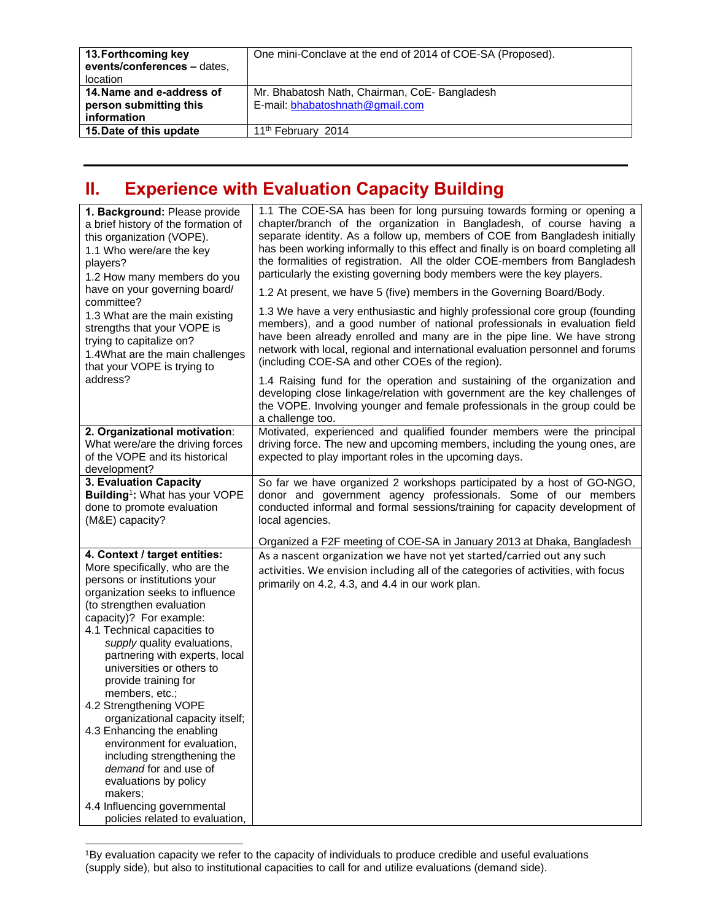| 13. Forthcoming key<br>events/conferences - dates,<br>location     | One mini-Conclave at the end of 2014 of COE-SA (Proposed).                      |
|--------------------------------------------------------------------|---------------------------------------------------------------------------------|
| 14. Name and e-address of<br>person submitting this<br>information | Mr. Bhabatosh Nath, Chairman, CoE-Bangladesh<br>E-mail: bhabatoshnath@gmail.com |
| 15. Date of this update                                            | 11 <sup>th</sup> February 2014                                                  |

## **II. Experience with Evaluation Capacity Building**

| 1. Background: Please provide<br>a brief history of the formation of<br>this organization (VOPE).<br>1.1 Who were/are the key<br>players?<br>1.2 How many members do you<br>have on your governing board/<br>committee?<br>1.3 What are the main existing<br>strengths that your VOPE is<br>trying to capitalize on?<br>1.4What are the main challenges<br>that your VOPE is trying to                                                                                                                                                                                                                                                                     | 1.1 The COE-SA has been for long pursuing towards forming or opening a<br>chapter/branch of the organization in Bangladesh, of course having a<br>separate identity. As a follow up, members of COE from Bangladesh initially<br>has been working informally to this effect and finally is on board completing all<br>the formalities of registration. All the older COE-members from Bangladesh<br>particularly the existing governing body members were the key players.<br>1.2 At present, we have 5 (five) members in the Governing Board/Body.<br>1.3 We have a very enthusiastic and highly professional core group (founding<br>members), and a good number of national professionals in evaluation field<br>have been already enrolled and many are in the pipe line. We have strong<br>network with local, regional and international evaluation personnel and forums<br>(including COE-SA and other COEs of the region). |
|------------------------------------------------------------------------------------------------------------------------------------------------------------------------------------------------------------------------------------------------------------------------------------------------------------------------------------------------------------------------------------------------------------------------------------------------------------------------------------------------------------------------------------------------------------------------------------------------------------------------------------------------------------|------------------------------------------------------------------------------------------------------------------------------------------------------------------------------------------------------------------------------------------------------------------------------------------------------------------------------------------------------------------------------------------------------------------------------------------------------------------------------------------------------------------------------------------------------------------------------------------------------------------------------------------------------------------------------------------------------------------------------------------------------------------------------------------------------------------------------------------------------------------------------------------------------------------------------------|
| address?                                                                                                                                                                                                                                                                                                                                                                                                                                                                                                                                                                                                                                                   | 1.4 Raising fund for the operation and sustaining of the organization and<br>developing close linkage/relation with government are the key challenges of<br>the VOPE. Involving younger and female professionals in the group could be<br>a challenge too.                                                                                                                                                                                                                                                                                                                                                                                                                                                                                                                                                                                                                                                                         |
| 2. Organizational motivation:<br>What were/are the driving forces<br>of the VOPE and its historical<br>development?                                                                                                                                                                                                                                                                                                                                                                                                                                                                                                                                        | Motivated, experienced and qualified founder members were the principal<br>driving force. The new and upcoming members, including the young ones, are<br>expected to play important roles in the upcoming days.                                                                                                                                                                                                                                                                                                                                                                                                                                                                                                                                                                                                                                                                                                                    |
| 3. Evaluation Capacity<br>Building <sup>1</sup> : What has your VOPE<br>done to promote evaluation<br>(M&E) capacity?                                                                                                                                                                                                                                                                                                                                                                                                                                                                                                                                      | So far we have organized 2 workshops participated by a host of GO-NGO,<br>donor and government agency professionals. Some of our members<br>conducted informal and formal sessions/training for capacity development of<br>local agencies.                                                                                                                                                                                                                                                                                                                                                                                                                                                                                                                                                                                                                                                                                         |
|                                                                                                                                                                                                                                                                                                                                                                                                                                                                                                                                                                                                                                                            | Organized a F2F meeting of COE-SA in January 2013 at Dhaka, Bangladesh                                                                                                                                                                                                                                                                                                                                                                                                                                                                                                                                                                                                                                                                                                                                                                                                                                                             |
| 4. Context / target entities:<br>More specifically, who are the<br>persons or institutions your<br>organization seeks to influence<br>(to strengthen evaluation<br>capacity)? For example:<br>4.1 Technical capacities to<br>supply quality evaluations,<br>partnering with experts, local<br>universities or others to<br>provide training for<br>members, etc.;<br>4.2 Strengthening VOPE<br>organizational capacity itself;<br>4.3 Enhancing the enabling<br>environment for evaluation,<br>including strengthening the<br>demand for and use of<br>evaluations by policy<br>makers;<br>4.4 Influencing governmental<br>policies related to evaluation, | As a nascent organization we have not yet started/carried out any such<br>activities. We envision including all of the categories of activities, with focus<br>primarily on 4.2, 4.3, and 4.4 in our work plan.                                                                                                                                                                                                                                                                                                                                                                                                                                                                                                                                                                                                                                                                                                                    |

1By evaluation capacity we refer to the capacity of individuals to produce credible and useful evaluations (supply side), but also to institutional capacities to call for and utilize evaluations (demand side).

 $\overline{a}$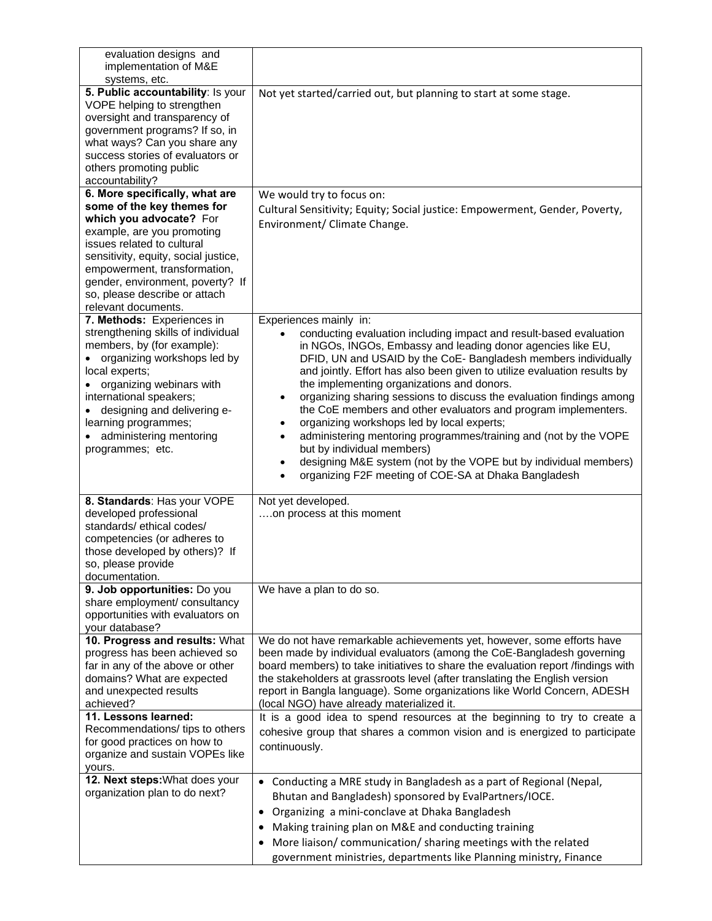| evaluation designs and<br>implementation of M&E                                                                                                                                                                                                                                                                         |                                                                                                                                                                                                                                                                                                                                                                                                                                                                                                                                                                                                                                                                                                                                                                                              |
|-------------------------------------------------------------------------------------------------------------------------------------------------------------------------------------------------------------------------------------------------------------------------------------------------------------------------|----------------------------------------------------------------------------------------------------------------------------------------------------------------------------------------------------------------------------------------------------------------------------------------------------------------------------------------------------------------------------------------------------------------------------------------------------------------------------------------------------------------------------------------------------------------------------------------------------------------------------------------------------------------------------------------------------------------------------------------------------------------------------------------------|
| systems, etc.<br>5. Public accountability: Is your<br>VOPE helping to strengthen<br>oversight and transparency of<br>government programs? If so, in<br>what ways? Can you share any<br>success stories of evaluators or<br>others promoting public<br>accountability?                                                   | Not yet started/carried out, but planning to start at some stage.                                                                                                                                                                                                                                                                                                                                                                                                                                                                                                                                                                                                                                                                                                                            |
| 6. More specifically, what are<br>some of the key themes for<br>which you advocate? For<br>example, are you promoting<br>issues related to cultural<br>sensitivity, equity, social justice,<br>empowerment, transformation,<br>gender, environment, poverty? If<br>so, please describe or attach<br>relevant documents. | We would try to focus on:<br>Cultural Sensitivity; Equity; Social justice: Empowerment, Gender, Poverty,<br>Environment/ Climate Change.                                                                                                                                                                                                                                                                                                                                                                                                                                                                                                                                                                                                                                                     |
| 7. Methods: Experiences in<br>strengthening skills of individual<br>members, by (for example):<br>• organizing workshops led by<br>local experts;<br>organizing webinars with<br>international speakers;<br>designing and delivering e-<br>learning programmes;<br>administering mentoring<br>programmes; etc.          | Experiences mainly in:<br>conducting evaluation including impact and result-based evaluation<br>in NGOs, INGOs, Embassy and leading donor agencies like EU,<br>DFID, UN and USAID by the CoE- Bangladesh members individually<br>and jointly. Effort has also been given to utilize evaluation results by<br>the implementing organizations and donors.<br>organizing sharing sessions to discuss the evaluation findings among<br>٠<br>the CoE members and other evaluators and program implementers.<br>organizing workshops led by local experts;<br>administering mentoring programmes/training and (not by the VOPE<br>٠<br>but by individual members)<br>designing M&E system (not by the VOPE but by individual members)<br>٠<br>organizing F2F meeting of COE-SA at Dhaka Bangladesh |
| 8. Standards: Has your VOPE<br>developed professional<br>standards/ethical codes/<br>competencies (or adheres to<br>those developed by others)? If<br>so, please provide<br>documentation.                                                                                                                              | Not yet developed.<br>on process at this moment                                                                                                                                                                                                                                                                                                                                                                                                                                                                                                                                                                                                                                                                                                                                              |
| 9. Job opportunities: Do you<br>share employment/ consultancy<br>opportunities with evaluators on<br>your database?                                                                                                                                                                                                     | We have a plan to do so.                                                                                                                                                                                                                                                                                                                                                                                                                                                                                                                                                                                                                                                                                                                                                                     |
| 10. Progress and results: What<br>progress has been achieved so<br>far in any of the above or other<br>domains? What are expected<br>and unexpected results<br>achieved?<br>11. Lessons learned:<br>Recommendations/ tips to others                                                                                     | We do not have remarkable achievements yet, however, some efforts have<br>been made by individual evaluators (among the CoE-Bangladesh governing<br>board members) to take initiatives to share the evaluation report /findings with<br>the stakeholders at grassroots level (after translating the English version<br>report in Bangla language). Some organizations like World Concern, ADESH<br>(local NGO) have already materialized it.<br>It is a good idea to spend resources at the beginning to try to create a<br>cohesive group that shares a common vision and is energized to participate                                                                                                                                                                                       |
| for good practices on how to<br>organize and sustain VOPEs like<br>yours.<br>12. Next steps: What does your<br>organization plan to do next?                                                                                                                                                                            | continuously.<br>Conducting a MRE study in Bangladesh as a part of Regional (Nepal,<br>$\bullet$<br>Bhutan and Bangladesh) sponsored by EvalPartners/IOCE.<br>Organizing a mini-conclave at Dhaka Bangladesh<br>$\bullet$                                                                                                                                                                                                                                                                                                                                                                                                                                                                                                                                                                    |
|                                                                                                                                                                                                                                                                                                                         | • Making training plan on M&E and conducting training<br>More liaison/ communication/ sharing meetings with the related<br>government ministries, departments like Planning ministry, Finance                                                                                                                                                                                                                                                                                                                                                                                                                                                                                                                                                                                                |